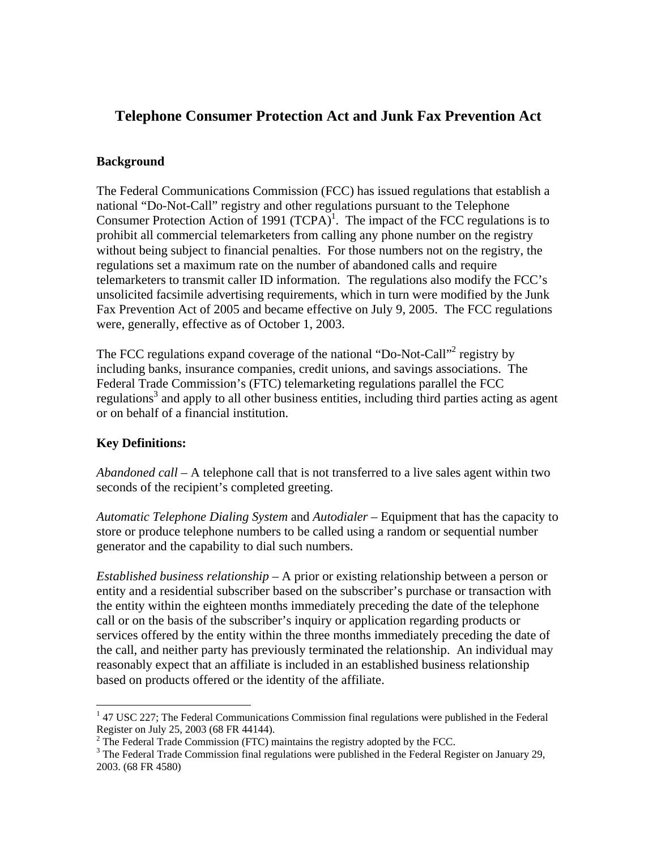# **Telephone Consumer Protection Act and Junk Fax Prevention Act**

#### **Background**

The Federal Communications Commission (FCC) has issued regulations that establish a national "Do-Not-Call" registry and other regulations pursuant to the Telephone Consumer Protection Action of [1](#page-0-0)991  $(TCPA)^{1}$ . The impact of the FCC regulations is to prohibit all commercial telemarketers from calling any phone number on the registry without being subject to financial penalties. For those numbers not on the registry, the regulations set a maximum rate on the number of abandoned calls and require telemarketers to transmit caller ID information. The regulations also modify the FCC's unsolicited facsimile advertising requirements, which in turn were modified by the Junk Fax Prevention Act of 2005 and became effective on July 9, 2005. The FCC regulations were, generally, effective as of October 1, 2003.

The FCC regulations expand coverage of the national "Do-Not-Call"<sup>2</sup> registry by including banks, insurance companies, credit unions, and savings associations. The Federal Trade Commission's (FTC) telemarketing regulations parallel the FCC regulations<sup>[3](#page-0-2)</sup> and apply to all other business entities, including third parties acting as agent or on behalf of a financial institution.

## **Key Definitions:**

 $\overline{a}$ 

*Abandoned call –* A telephone call that is not transferred to a live sales agent within two seconds of the recipient's completed greeting.

*Automatic Telephone Dialing System* and *Autodialer* – Equipment that has the capacity to store or produce telephone numbers to be called using a random or sequential number generator and the capability to dial such numbers.

*Established business relationship* – A prior or existing relationship between a person or entity and a residential subscriber based on the subscriber's purchase or transaction with the entity within the eighteen months immediately preceding the date of the telephone call or on the basis of the subscriber's inquiry or application regarding products or services offered by the entity within the three months immediately preceding the date of the call, and neither party has previously terminated the relationship. An individual may reasonably expect that an affiliate is included in an established business relationship based on products offered or the identity of the affiliate.

<span id="page-0-0"></span> $147$  USC 227; The Federal Communications Commission final regulations were published in the Federal Register on July 25, 2003 (68 FR 44144).

<span id="page-0-1"></span> $2^2$  The Federal Trade Commission (FTC) maintains the registry adopted by the FCC.

<span id="page-0-2"></span> $3$  The Federal Trade Commission final regulations were published in the Federal Register on January 29, 2003. (68 FR 4580)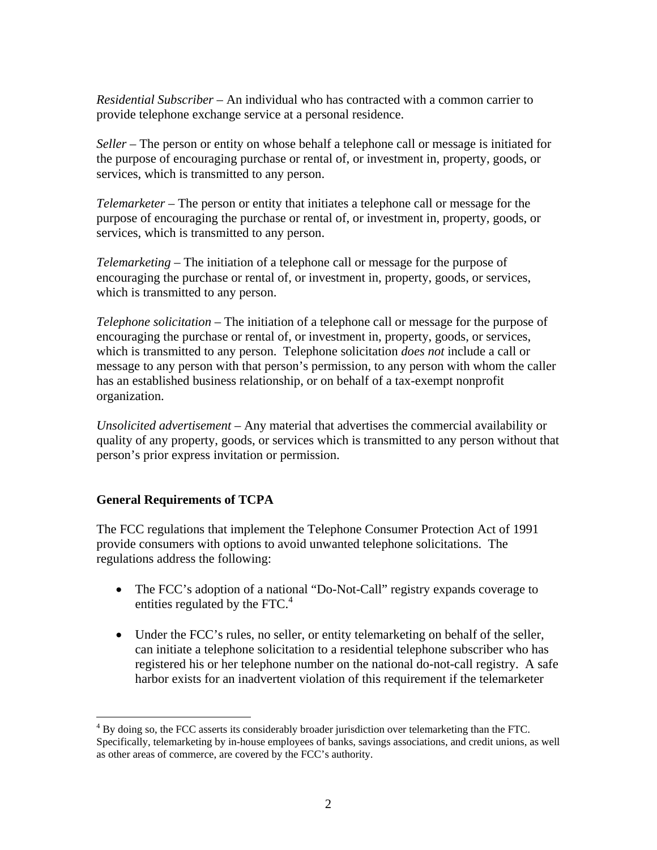*Residential Subscriber* – An individual who has contracted with a common carrier to provide telephone exchange service at a personal residence.

*Seller* – The person or entity on whose behalf a telephone call or message is initiated for the purpose of encouraging purchase or rental of, or investment in, property, goods, or services, which is transmitted to any person.

*Telemarketer* – The person or entity that initiates a telephone call or message for the purpose of encouraging the purchase or rental of, or investment in, property, goods, or services, which is transmitted to any person.

*Telemarketing* – The initiation of a telephone call or message for the purpose of encouraging the purchase or rental of, or investment in, property, goods, or services, which is transmitted to any person.

*Telephone solicitation* – The initiation of a telephone call or message for the purpose of encouraging the purchase or rental of, or investment in, property, goods, or services, which is transmitted to any person. Telephone solicitation *does not* include a call or message to any person with that person's permission, to any person with whom the caller has an established business relationship, or on behalf of a tax-exempt nonprofit organization.

*Unsolicited advertisement* – Any material that advertises the commercial availability or quality of any property, goods, or services which is transmitted to any person without that person's prior express invitation or permission.

## **General Requirements of TCPA**

The FCC regulations that implement the Telephone Consumer Protection Act of 1991 provide consumers with options to avoid unwanted telephone solicitations. The regulations address the following:

- The FCC's adoption of a national "Do-Not-Call" registry expands coverage to entitiesregulated by the FTC. $4$
- Under the FCC's rules, no seller, or entity telemarketing on behalf of the seller, can initiate a telephone solicitation to a residential telephone subscriber who has registered his or her telephone number on the national do-not-call registry. A safe harbor exists for an inadvertent violation of this requirement if the telemarketer

<span id="page-1-0"></span> $\overline{a}$  $4$  By doing so, the FCC asserts its considerably broader jurisdiction over telemarketing than the FTC. Specifically, telemarketing by in-house employees of banks, savings associations, and credit unions, as well as other areas of commerce, are covered by the FCC's authority.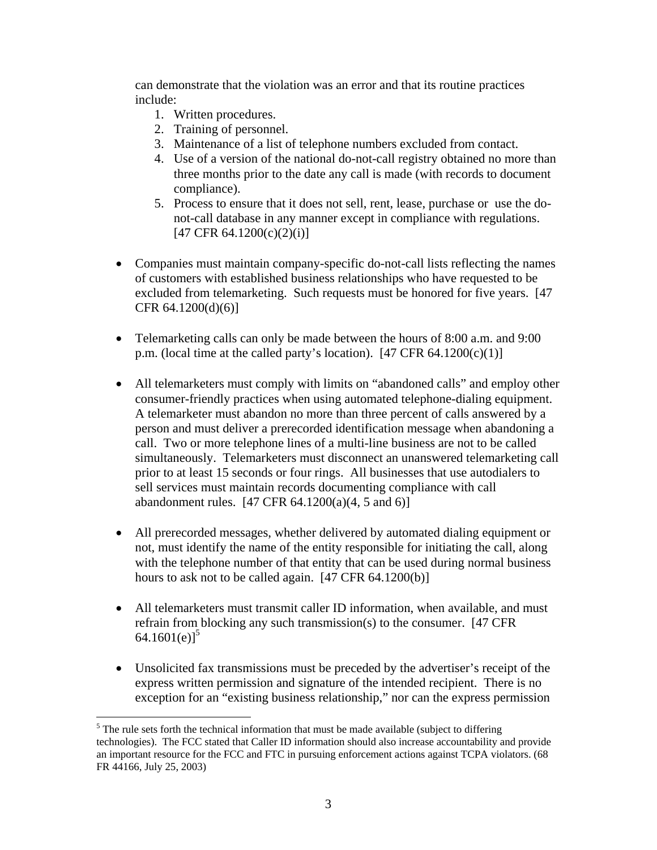can demonstrate that the violation was an error and that its routine practices include:

- 1. Written procedures.
- 2. Training of personnel.
- 3. Maintenance of a list of telephone numbers excluded from contact.
- 4. Use of a version of the national do-not-call registry obtained no more than three months prior to the date any call is made (with records to document compliance).
- 5. Process to ensure that it does not sell, rent, lease, purchase or use the donot-call database in any manner except in compliance with regulations.  $[47 \text{ CFR } 64.1200(c)(2)(i)]$
- Companies must maintain company-specific do-not-call lists reflecting the names of customers with established business relationships who have requested to be excluded from telemarketing. Such requests must be honored for five years. [47 CFR 64.1200(d)(6)]
- Telemarketing calls can only be made between the hours of 8:00 a.m. and 9:00 p.m. (local time at the called party's location).  $[47 \text{ CFR } 64.1200(c)(1)]$
- All telemarketers must comply with limits on "abandoned calls" and employ other consumer-friendly practices when using automated telephone-dialing equipment. A telemarketer must abandon no more than three percent of calls answered by a person and must deliver a prerecorded identification message when abandoning a call. Two or more telephone lines of a multi-line business are not to be called simultaneously. Telemarketers must disconnect an unanswered telemarketing call prior to at least 15 seconds or four rings. All businesses that use autodialers to sell services must maintain records documenting compliance with call abandonment rules.  $[47 \text{ CFR } 64.1200(a)(4, 5 \text{ and } 6)]$
- All prerecorded messages, whether delivered by automated dialing equipment or not, must identify the name of the entity responsible for initiating the call, along with the telephone number of that entity that can be used during normal business hours to ask not to be called again. [47 CFR 64.1200(b)]
- All telemarketers must transmit caller ID information, when available, and must refrain from blocking any such transmission(s) to the consumer. [47 CFR 64.1601(e)]<sup>[5](#page-2-0)</sup>
- Unsolicited fax transmissions must be preceded by the advertiser's receipt of the express written permission and signature of the intended recipient. There is no exception for an "existing business relationship," nor can the express permission

<u>.</u>

<span id="page-2-0"></span> $<sup>5</sup>$  The rule sets forth the technical information that must be made available (subject to differing</sup> technologies). The FCC stated that Caller ID information should also increase accountability and provide an important resource for the FCC and FTC in pursuing enforcement actions against TCPA violators. (68 FR 44166, July 25, 2003)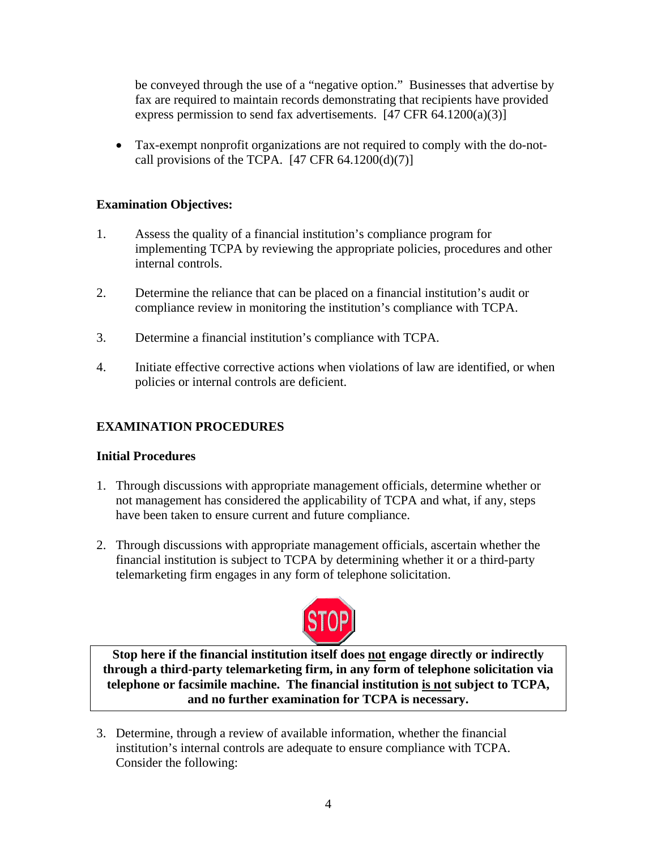be conveyed through the use of a "negative option." Businesses that advertise by fax are required to maintain records demonstrating that recipients have provided express permission to send fax advertisements.  $[47 \text{ CFR } 64.1200(a)(3)]$ 

• Tax-exempt nonprofit organizations are not required to comply with the do-notcall provisions of the TCPA.  $[47 \text{ CFR } 64.1200(d)(7)]$ 

# **Examination Objectives:**

- 1. Assess the quality of a financial institution's compliance program for implementing TCPA by reviewing the appropriate policies, procedures and other internal controls.
- 2. Determine the reliance that can be placed on a financial institution's audit or compliance review in monitoring the institution's compliance with TCPA.
- 3. Determine a financial institution's compliance with TCPA.
- 4. Initiate effective corrective actions when violations of law are identified, or when policies or internal controls are deficient.

# **EXAMINATION PROCEDURES**

## **Initial Procedures**

- 1. Through discussions with appropriate management officials, determine whether or not management has considered the applicability of TCPA and what, if any, steps have been taken to ensure current and future compliance.
- 2. Through discussions with appropriate management officials, ascertain whether the financial institution is subject to TCPA by determining whether it or a third-party telemarketing firm engages in any form of telephone solicitation.



**Stop here if the financial institution itself does not engage directly or indirectly through a third-party telemarketing firm, in any form of telephone solicitation via telephone or facsimile machine. The financial institution is not subject to TCPA, and no further examination for TCPA is necessary.** 

3. Determine, through a review of available information, whether the financial institution's internal controls are adequate to ensure compliance with TCPA. Consider the following: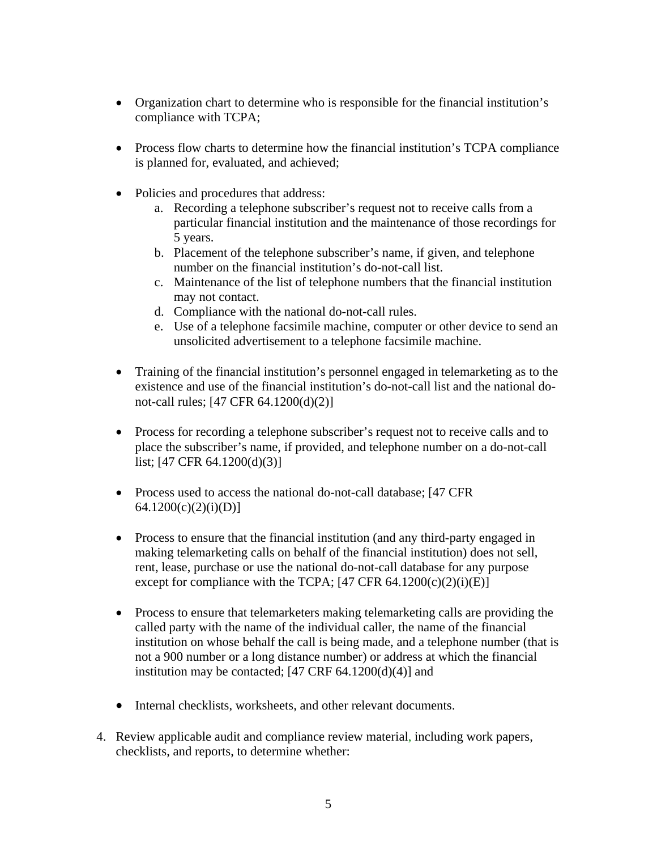- Organization chart to determine who is responsible for the financial institution's compliance with TCPA;
- Process flow charts to determine how the financial institution's TCPA compliance is planned for, evaluated, and achieved;
- Policies and procedures that address:
	- a. Recording a telephone subscriber's request not to receive calls from a particular financial institution and the maintenance of those recordings for 5 years.
	- b. Placement of the telephone subscriber's name, if given, and telephone number on the financial institution's do-not-call list.
	- c. Maintenance of the list of telephone numbers that the financial institution may not contact.
	- d. Compliance with the national do-not-call rules.
	- e. Use of a telephone facsimile machine, computer or other device to send an unsolicited advertisement to a telephone facsimile machine.
- Training of the financial institution's personnel engaged in telemarketing as to the existence and use of the financial institution's do-not-call list and the national donot-call rules; [47 CFR 64.1200(d)(2)]
- Process for recording a telephone subscriber's request not to receive calls and to place the subscriber's name, if provided, and telephone number on a do-not-call list; [47 CFR 64.1200(d)(3)]
- Process used to access the national do-not-call database; [47 CFR]  $64.1200(c)(2)(i)(D)$ ]
- Process to ensure that the financial institution (and any third-party engaged in making telemarketing calls on behalf of the financial institution) does not sell, rent, lease, purchase or use the national do-not-call database for any purpose except for compliance with the TCPA;  $[47 \text{ CFR } 64.1200(c)(2)(i)(E)]$
- Process to ensure that telemarketers making telemarketing calls are providing the called party with the name of the individual caller, the name of the financial institution on whose behalf the call is being made, and a telephone number (that is not a 900 number or a long distance number) or address at which the financial institution may be contacted;  $[47 \text{ CRF } 64.1200(d)(4)]$  and
- Internal checklists, worksheets, and other relevant documents.
- 4. Review applicable audit and compliance review material, including work papers, checklists, and reports, to determine whether: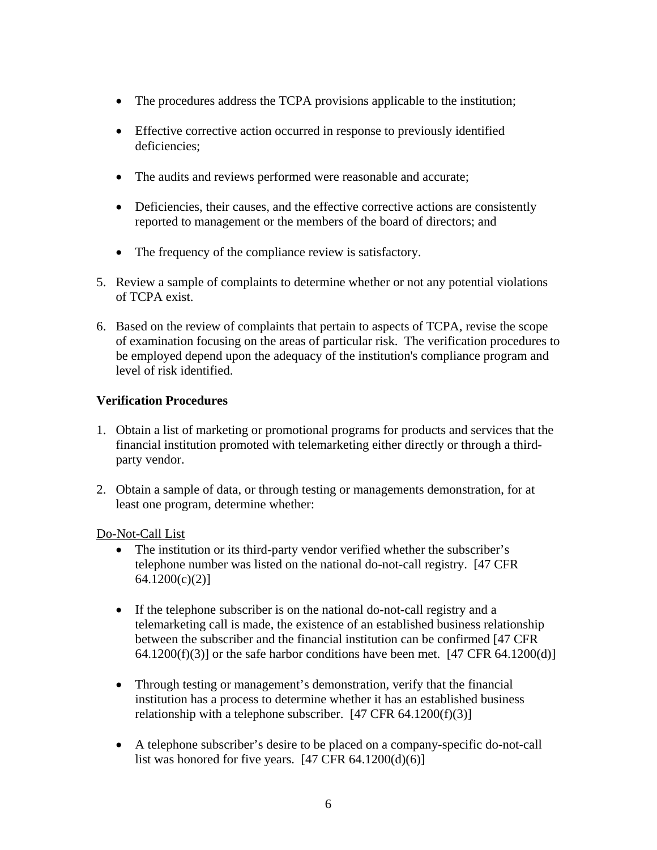- The procedures address the TCPA provisions applicable to the institution;
- Effective corrective action occurred in response to previously identified deficiencies;
- The audits and reviews performed were reasonable and accurate;
- Deficiencies, their causes, and the effective corrective actions are consistently reported to management or the members of the board of directors; and
- The frequency of the compliance review is satisfactory.
- 5. Review a sample of complaints to determine whether or not any potential violations of TCPA exist.
- 6. Based on the review of complaints that pertain to aspects of TCPA, revise the scope of examination focusing on the areas of particular risk. The verification procedures to be employed depend upon the adequacy of the institution's compliance program and level of risk identified.

# **Verification Procedures**

- 1. Obtain a list of marketing or promotional programs for products and services that the financial institution promoted with telemarketing either directly or through a thirdparty vendor.
- 2. Obtain a sample of data, or through testing or managements demonstration, for at least one program, determine whether:

Do-Not-Call List

- The institution or its third-party vendor verified whether the subscriber's telephone number was listed on the national do-not-call registry. [47 CFR 64.1200(c)(2)]
- If the telephone subscriber is on the national do-not-call registry and a telemarketing call is made, the existence of an established business relationship between the subscriber and the financial institution can be confirmed [47 CFR 64.1200(f)(3)] or the safe harbor conditions have been met.  $[47 \text{ CFR } 64.1200(d)]$
- Through testing or management's demonstration, verify that the financial institution has a process to determine whether it has an established business relationship with a telephone subscriber.  $[47 \text{ CFR } 64.1200(f)(3)]$
- A telephone subscriber's desire to be placed on a company-specific do-not-call list was honored for five years.  $[47 \text{ CFR } 64.1200(d)(6)]$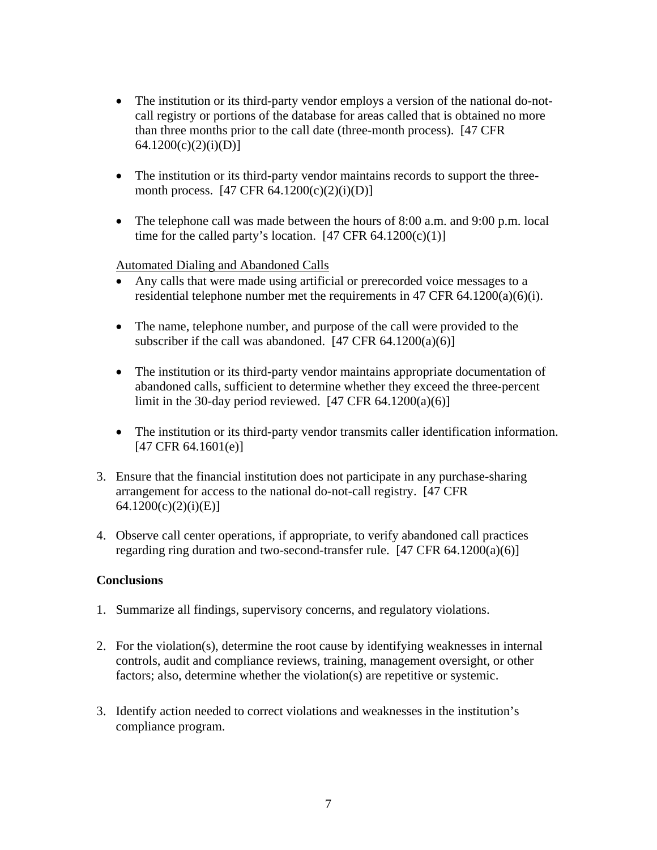- The institution or its third-party vendor employs a version of the national do-notcall registry or portions of the database for areas called that is obtained no more than three months prior to the call date (three-month process). [47 CFR  $64.1200(c)(2)(i)(D)$ ]
- The institution or its third-party vendor maintains records to support the threemonth process.  $[47 \text{ CFR } 64.1200(c)(2)(i)(D)]$
- The telephone call was made between the hours of  $8:00$  a.m. and  $9:00$  p.m. local time for the called party's location.  $[47 \text{ CFR } 64.1200(c)(1)]$

Automated Dialing and Abandoned Calls

- Any calls that were made using artificial or prerecorded voice messages to a residential telephone number met the requirements in 47 CFR 64.1200(a)(6)(i).
- The name, telephone number, and purpose of the call were provided to the subscriber if the call was abandoned.  $[47 \text{ CFR } 64.1200(a)(6)]$
- The institution or its third-party vendor maintains appropriate documentation of abandoned calls, sufficient to determine whether they exceed the three-percent limit in the 30-day period reviewed.  $[47 \text{ CFR } 64.1200(a)(6)]$
- The institution or its third-party vendor transmits caller identification information. [47 CFR 64.1601(e)]
- 3. Ensure that the financial institution does not participate in any purchase-sharing arrangement for access to the national do-not-call registry. [47 CFR 64.1200(c)(2)(i)(E)]
- 4. Observe call center operations, if appropriate, to verify abandoned call practices regarding ring duration and two-second-transfer rule.  $[47 \text{ CFR } 64.1200(a)(6)]$

## **Conclusions**

- 1. Summarize all findings, supervisory concerns, and regulatory violations.
- 2. For the violation(s), determine the root cause by identifying weaknesses in internal controls, audit and compliance reviews, training, management oversight, or other factors; also, determine whether the violation(s) are repetitive or systemic.
- 3. Identify action needed to correct violations and weaknesses in the institution's compliance program.